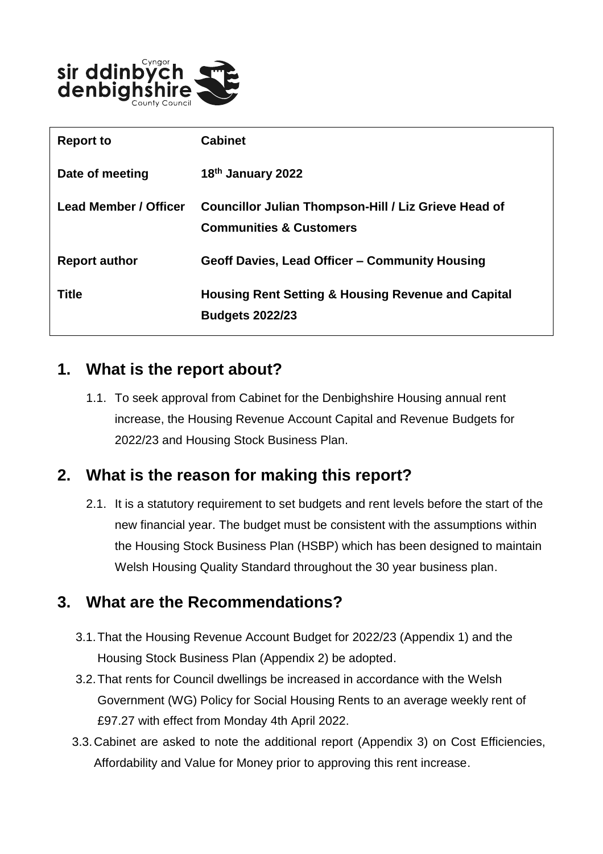

| <b>Report to</b>      | <b>Cabinet</b>                                                                             |
|-----------------------|--------------------------------------------------------------------------------------------|
| Date of meeting       | 18th January 2022                                                                          |
| Lead Member / Officer | Councillor Julian Thompson-Hill / Liz Grieve Head of<br><b>Communities &amp; Customers</b> |
| <b>Report author</b>  | Geoff Davies, Lead Officer - Community Housing                                             |
| <b>Title</b>          | <b>Housing Rent Setting &amp; Housing Revenue and Capital</b><br><b>Budgets 2022/23</b>    |

### **1. What is the report about?**

1.1. To seek approval from Cabinet for the Denbighshire Housing annual rent increase, the Housing Revenue Account Capital and Revenue Budgets for 2022/23 and Housing Stock Business Plan.

# **2. What is the reason for making this report?**

2.1. It is a statutory requirement to set budgets and rent levels before the start of the new financial year. The budget must be consistent with the assumptions within the Housing Stock Business Plan (HSBP) which has been designed to maintain Welsh Housing Quality Standard throughout the 30 year business plan.

# **3. What are the Recommendations?**

- 3.1.That the Housing Revenue Account Budget for 2022/23 (Appendix 1) and the Housing Stock Business Plan (Appendix 2) be adopted.
- 3.2.That rents for Council dwellings be increased in accordance with the Welsh Government (WG) Policy for Social Housing Rents to an average weekly rent of £97.27 with effect from Monday 4th April 2022.
- 3.3.Cabinet are asked to note the additional report (Appendix 3) on Cost Efficiencies, Affordability and Value for Money prior to approving this rent increase.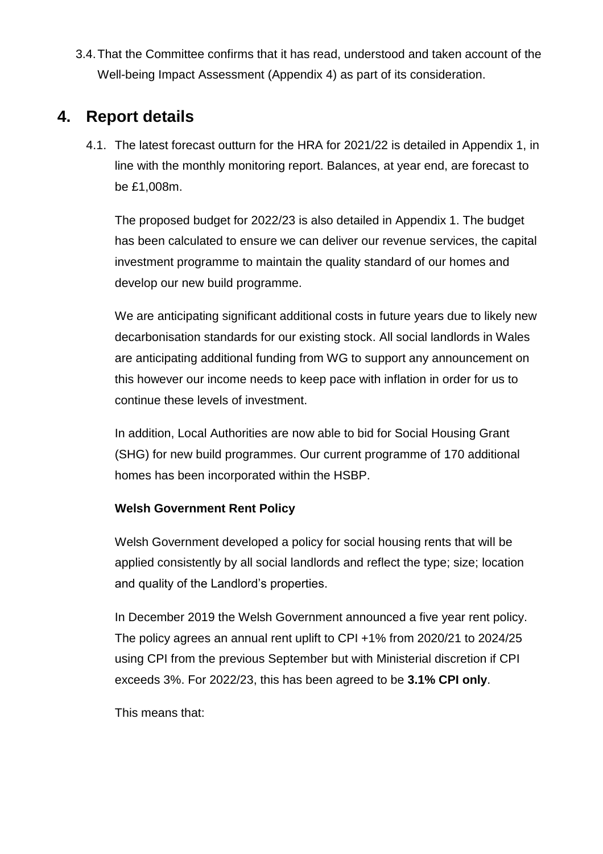3.4.That the Committee confirms that it has read, understood and taken account of the Well-being Impact Assessment (Appendix 4) as part of its consideration.

## **4. Report details**

4.1. The latest forecast outturn for the HRA for 2021/22 is detailed in Appendix 1, in line with the monthly monitoring report. Balances, at year end, are forecast to be £1,008m.

The proposed budget for 2022/23 is also detailed in Appendix 1. The budget has been calculated to ensure we can deliver our revenue services, the capital investment programme to maintain the quality standard of our homes and develop our new build programme.

We are anticipating significant additional costs in future years due to likely new decarbonisation standards for our existing stock. All social landlords in Wales are anticipating additional funding from WG to support any announcement on this however our income needs to keep pace with inflation in order for us to continue these levels of investment.

In addition, Local Authorities are now able to bid for Social Housing Grant (SHG) for new build programmes. Our current programme of 170 additional homes has been incorporated within the HSBP.

#### **Welsh Government Rent Policy**

Welsh Government developed a policy for social housing rents that will be applied consistently by all social landlords and reflect the type; size; location and quality of the Landlord's properties.

In December 2019 the Welsh Government announced a five year rent policy. The policy agrees an annual rent uplift to CPI +1% from 2020/21 to 2024/25 using CPI from the previous September but with Ministerial discretion if CPI exceeds 3%. For 2022/23, this has been agreed to be **3.1% CPI only**.

This means that: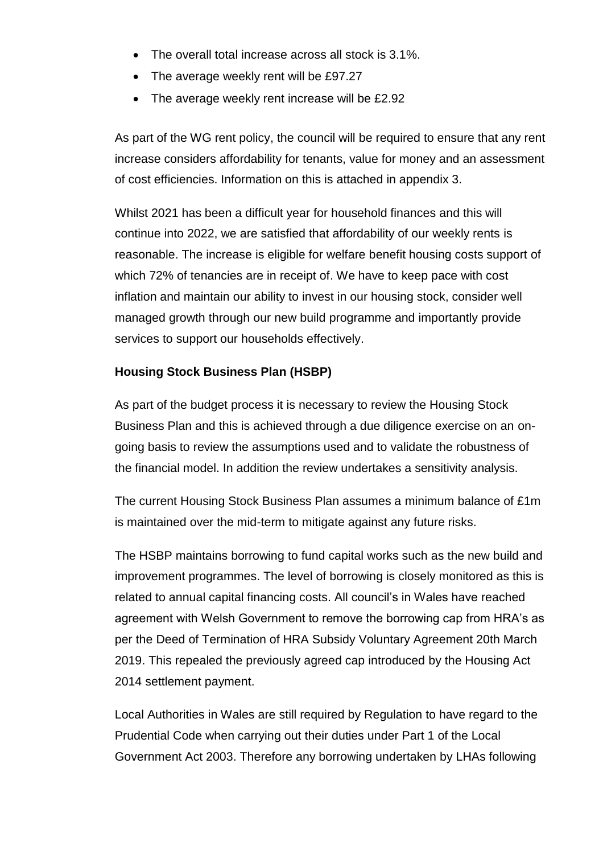- The overall total increase across all stock is 3.1%.
- The average weekly rent will be £97.27
- The average weekly rent increase will be £2.92

As part of the WG rent policy, the council will be required to ensure that any rent increase considers affordability for tenants, value for money and an assessment of cost efficiencies. Information on this is attached in appendix 3.

Whilst 2021 has been a difficult year for household finances and this will continue into 2022, we are satisfied that affordability of our weekly rents is reasonable. The increase is eligible for welfare benefit housing costs support of which 72% of tenancies are in receipt of. We have to keep pace with cost inflation and maintain our ability to invest in our housing stock, consider well managed growth through our new build programme and importantly provide services to support our households effectively.

#### **Housing Stock Business Plan (HSBP)**

As part of the budget process it is necessary to review the Housing Stock Business Plan and this is achieved through a due diligence exercise on an ongoing basis to review the assumptions used and to validate the robustness of the financial model. In addition the review undertakes a sensitivity analysis.

The current Housing Stock Business Plan assumes a minimum balance of £1m is maintained over the mid-term to mitigate against any future risks.

The HSBP maintains borrowing to fund capital works such as the new build and improvement programmes. The level of borrowing is closely monitored as this is related to annual capital financing costs. All council's in Wales have reached agreement with Welsh Government to remove the borrowing cap from HRA's as per the Deed of Termination of HRA Subsidy Voluntary Agreement 20th March 2019. This repealed the previously agreed cap introduced by the Housing Act 2014 settlement payment.

Local Authorities in Wales are still required by Regulation to have regard to the Prudential Code when carrying out their duties under Part 1 of the Local Government Act 2003. Therefore any borrowing undertaken by LHAs following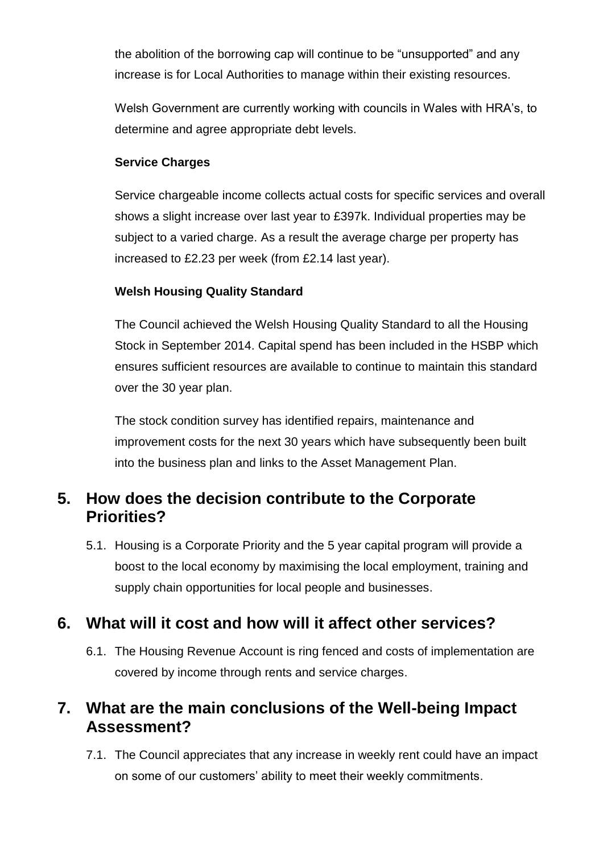the abolition of the borrowing cap will continue to be "unsupported" and any increase is for Local Authorities to manage within their existing resources.

Welsh Government are currently working with councils in Wales with HRA's, to determine and agree appropriate debt levels.

#### **Service Charges**

Service chargeable income collects actual costs for specific services and overall shows a slight increase over last year to £397k. Individual properties may be subject to a varied charge. As a result the average charge per property has increased to £2.23 per week (from £2.14 last year).

#### **Welsh Housing Quality Standard**

The Council achieved the Welsh Housing Quality Standard to all the Housing Stock in September 2014. Capital spend has been included in the HSBP which ensures sufficient resources are available to continue to maintain this standard over the 30 year plan.

The stock condition survey has identified repairs, maintenance and improvement costs for the next 30 years which have subsequently been built into the business plan and links to the Asset Management Plan.

## **5. How does the decision contribute to the Corporate Priorities?**

5.1. Housing is a Corporate Priority and the 5 year capital program will provide a boost to the local economy by maximising the local employment, training and supply chain opportunities for local people and businesses.

# **6. What will it cost and how will it affect other services?**

6.1. The Housing Revenue Account is ring fenced and costs of implementation are covered by income through rents and service charges.

## **7. What are the main conclusions of the Well-being Impact Assessment?**

7.1. The Council appreciates that any increase in weekly rent could have an impact on some of our customers' ability to meet their weekly commitments.